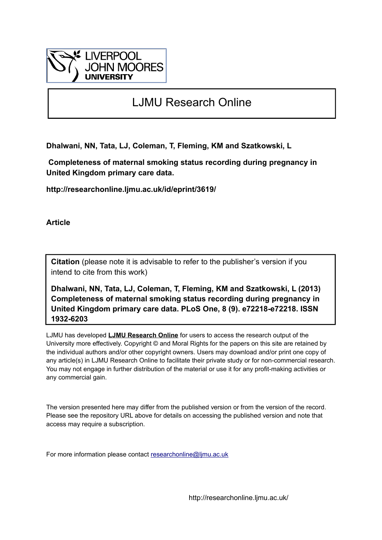

# LJMU Research Online

**Dhalwani, NN, Tata, LJ, Coleman, T, Fleming, KM and Szatkowski, L**

 **Completeness of maternal smoking status recording during pregnancy in United Kingdom primary care data.**

**http://researchonline.ljmu.ac.uk/id/eprint/3619/**

**Article**

**Citation** (please note it is advisable to refer to the publisher's version if you intend to cite from this work)

**Dhalwani, NN, Tata, LJ, Coleman, T, Fleming, KM and Szatkowski, L (2013) Completeness of maternal smoking status recording during pregnancy in United Kingdom primary care data. PLoS One, 8 (9). e72218-e72218. ISSN 1932-6203** 

LJMU has developed **[LJMU Research Online](http://researchonline.ljmu.ac.uk/)** for users to access the research output of the University more effectively. Copyright © and Moral Rights for the papers on this site are retained by the individual authors and/or other copyright owners. Users may download and/or print one copy of any article(s) in LJMU Research Online to facilitate their private study or for non-commercial research. You may not engage in further distribution of the material or use it for any profit-making activities or any commercial gain.

The version presented here may differ from the published version or from the version of the record. Please see the repository URL above for details on accessing the published version and note that access may require a subscription.

For more information please contact [researchonline@ljmu.ac.uk](mailto:researchonline@ljmu.ac.uk)

http://researchonline.ljmu.ac.uk/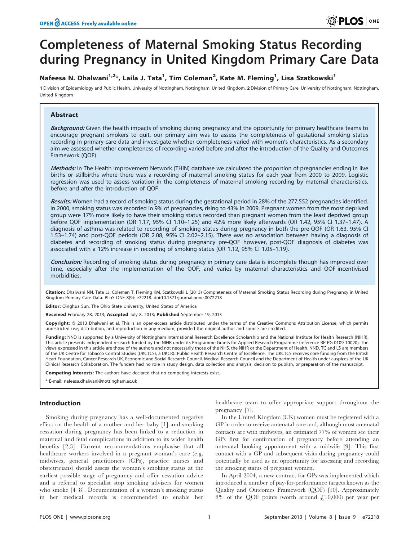# Completeness of Maternal Smoking Status Recording during Pregnancy in United Kingdom Primary Care Data

# Nafeesa N. Dhalwani<sup>1,2</sup>\*, Laila J. Tata<sup>1</sup>, Tim Coleman<sup>2</sup>, Kate M. Fleming<sup>1</sup>, Lisa Szatkowski<sup>1</sup>

1 Division of Epidemiology and Public Health, University of Nottingham, Nottingham, United Kingdom, 2 Division of Primary Care, University of Nottingham, Nottingham, Nottingham, United Kingdom

# Abstract

Background: Given the health impacts of smoking during pregnancy and the opportunity for primary healthcare teams to encourage pregnant smokers to quit, our primary aim was to assess the completeness of gestational smoking status recording in primary care data and investigate whether completeness varied with women's characteristics. As a secondary aim we assessed whether completeness of recording varied before and after the introduction of the Quality and Outcomes Framework (QOF).

Methods: In The Health Improvement Network (THIN) database we calculated the proportion of pregnancies ending in live births or stillbirths where there was a recording of maternal smoking status for each year from 2000 to 2009. Logistic regression was used to assess variation in the completeness of maternal smoking recording by maternal characteristics, before and after the introduction of QOF.

Results: Women had a record of smoking status during the gestational period in 28% of the 277,552 pregnancies identified. In 2000, smoking status was recorded in 9% of pregnancies, rising to 43% in 2009. Pregnant women from the most deprived group were 17% more likely to have their smoking status recorded than pregnant women from the least deprived group before QOF implementation (OR 1.17, 95% CI 1.10–1.25) and 42% more likely afterwards (OR 1.42, 95% CI 1.37–1.47). A diagnosis of asthma was related to recording of smoking status during pregnancy in both the pre-QOF (OR 1.63, 95% CI 1.53–1.74) and post-QOF periods (OR 2.08, 95% CI 2.02–2.15). There was no association between having a diagnosis of diabetes and recording of smoking status during pregnancy pre-QOF however, post-QOF diagnosis of diabetes was associated with a 12% increase in recording of smoking status (OR 1.12, 95% CI 1.05–1.19).

Conclusion: Recording of smoking status during pregnancy in primary care data is incomplete though has improved over time, especially after the implementation of the QOF, and varies by maternal characteristics and QOF-incentivised morbidities.

Citation: Dhalwani NN, Tata LJ, Coleman T, Fleming KM, Szatkowski L (2013) Completeness of Maternal Smoking Status Recording during Pregnancy in United Kingdom Primary Care Data. PLoS ONE 8(9): e72218. doi:10.1371/journal.pone.0072218

Editor: Qinghua Sun, The Ohio State University, United States of America

Received February 28, 2013; Accepted July 8, 2013; Published September 19, 2013

Copyright: © 2013 Dhalwani et al. This is an open-access article distributed under the terms of the Creative Commons Attribution License, which permits unrestricted use, distribution, and reproduction in any medium, provided the original author and source are credited.

Funding: NND is supported by a University of Nottingham International Research Excellence Scholarship and the National Institute for Health Research (NIHR). This article presents independent research funded by the NIHR under its Programme Grants for Applied Research Programme (reference RP-PG 0109-10020). The views expressed in this article are those of the authors and not necessarily those of the NHS, the NIHR or the Department of Health. NND, TC and LS are members of the UK Centre for Tobacco Control Studies (UKCTCS), a UKCRC Public Health Research Centre of Excellence. The UKCTCS receives core funding from the British Heart Foundation, Cancer Research UK, Economic and Social Research Council, Medical Research Council and the Department of Health under auspices of the UK Clinical Research Collaboration. The funders had no role in study design, data collection and analysis, decision to publish, or preparation of the manuscript.

Competing Interests: The authors have declared that no competing interests exist.

\* E-mail: nafeesa.dhalwani@nottingham.ac.uk

# Introduction

Smoking during pregnancy has a well-documented negative effect on the health of a mother and her baby [1] and smoking cessation during pregnancy has been linked to a reduction in maternal and fetal complications in addition to its wider health benefits [2,3]. Current recommendations emphasise that all healthcare workers involved in a pregnant woman's care (e.g. midwives, general practitioners (GPs), practice nurses and obstetricians) should assess the woman's smoking status at the earliest possible stage of pregnancy and offer cessation advice and a referral to specialist stop smoking advisers for women who smoke [4–8]. Documentation of a woman's smoking status in her medical records is recommended to enable her

healthcare team to offer appropriate support throughout the pregnancy [7].

In the United Kingdom (UK) women must be registered with a GP in order to receive antenatal care and, although most antenatal contacts are with midwives, an estimated 77% of women see their GPs first for confirmation of pregnancy before attending an antenatal booking appointment with a midwife [9]. This first contact with a GP and subsequent visits during pregnancy could potentially be used as an opportunity for assessing and recording the smoking status of pregnant women.

In April 2004, a new contract for GPs was implemented which introduced a number of pay-for-performance targets known as the Quality and Outcomes Framework (QOF) [10]. Approximately 8% of the QOF points (worth around  $\text{\textsterling}10,000$ ) per year per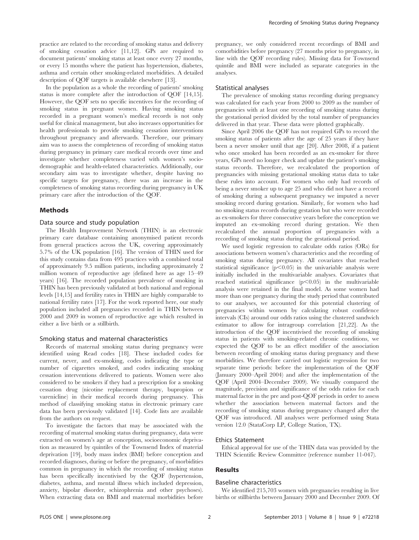practice are related to the recording of smoking status and delivery of smoking cessation advice [11,12]. GPs are required to document patients' smoking status at least once every 27 months, or every 15 months where the patient has hypertension, diabetes, asthma and certain other smoking-related morbidities. A detailed description of QOF targets is available elsewhere [13].

In the population as a whole the recording of patients' smoking status is more complete after the introduction of QOF [14,15]. However, the QOF sets no specific incentives for the recording of smoking status in pregnant women. Having smoking status recorded in a pregnant women's medical records is not only useful for clinical management, but also increases opportunities for health professionals to provide smoking cessation interventions throughout pregnancy and afterwards. Therefore, our primary aim was to assess the completeness of recording of smoking status during pregnancy in primary care medical records over time and investigate whether completeness varied with women's sociodemographic and health-related characteristics. Additionally, our secondary aim was to investigate whether, despite having no specific targets for pregnancy, there was an increase in the completeness of smoking status recording during pregnancy in UK primary care after the introduction of the QOF.

## Methods

# Data source and study population

The Health Improvement Network (THIN) is an electronic primary care database containing anonymised patient records from general practices across the UK, covering approximately 5.7% of the UK population [16]. The version of THIN used for this study contains data from 495 practices with a combined total of approximately 9.5 million patients, including approximately 2 million women of reproductive age (defined here as age 15–49 years) [16]. The recorded population prevalence of smoking in THIN has been previously validated at both national and regional levels [14,15] and fertility rates in THIN are highly comparable to national fertility rates [17]. For the work reported here, our study population included all pregnancies recorded in THIN between 2000 and 2009 in women of reproductive age which resulted in either a live birth or a stillbirth.

## Smoking status and maternal characteristics

Records of maternal smoking status during pregnancy were identified using Read codes [18]. These included codes for current, never, and ex-smoking, codes indicating the type or number of cigarettes smoked, and codes indicating smoking cessation interventions delivered to patients. Women were also considered to be smokers if they had a prescription for a smoking cessation drug (nicotine replacement therapy, bupropion or varenicline) in their medical records during pregnancy. This method of classifying smoking status in electronic primary care data has been previously validated [14]. Code lists are available from the authors on request.

To investigate the factors that may be associated with the recording of maternal smoking status during pregnancy, data were extracted on women's age at conception, socioeconomic deprivation as measured by quintiles of the Townsend Index of material deprivation [19], body mass index (BMI) before conception and recorded diagnoses, during or before the pregnancy, of morbidities common in pregnancy in which the recording of smoking status has been specifically incentivised by the QOF (hypertension, diabetes, asthma, and mental illness which included depression, anxiety, bipolar disorder, schizophrenia and other psychoses). When extracting data on BMI and maternal morbidities before

pregnancy, we only considered recent recordings of BMI and comorbidities before pregnancy (27 months prior to pregnancy, in line with the QOF recording rules). Missing data for Townsend quintile and BMI were included as separate categories in the analyses.

#### Statistical analyses

The prevalence of smoking status recording during pregnancy was calculated for each year from 2000 to 2009 as the number of pregnancies with at least one recording of smoking status during the gestational period divided by the total number of pregnancies delivered in that year. These data were plotted graphically.

Since April 2006 the QOF has not required GPs to record the smoking status of patients after the age of 25 years if they have been a never smoker until that age [20]. After 2008, if a patient who once smoked has been recorded as an ex-smoker for three years, GPs need no longer check and update the patient's smoking status records. Therefore, we recalculated the proportion of pregnancies with missing gestational smoking status data to take these rules into account. For women who only had records of being a never smoker up to age 25 and who did not have a record of smoking during a subsequent pregnancy we imputed a never smoking record during gestation. Similarly, for women who had no smoking status records during gestation but who were recorded as ex-smokers for three consecutive years before the conception we imputed an ex-smoking record during gestation. We then recalculated the annual proportion of pregnancies with a recording of smoking status during the gestational period.

We used logistic regression to calculate odds ratios (ORs) for associations between women's characteristics and the recording of smoking status during pregnancy. All covariates that reached statistical significance  $(p<0.05)$  in the univariable analysis were initially included in the multivariable analyses. Covariates that reached statistical significance  $(p<0.05)$  in the multivariable analysis were retained in the final model. As some women had more than one pregnancy during the study period that contributed to our analyses, we accounted for this potential clustering of pregnancies within women by calculating robust confidence intervals (CIs) around our odds ratios using the clustered sandwich estimator to allow for intragroup correlation [21,22]. As the introduction of the QOF incentivised the recording of smoking status in patients with smoking-related chronic conditions, we expected the QOF to be an effect modifier of the association between recording of smoking status during pregnancy and these morbidities. We therefore carried out logistic regression for two separate time periods: before the implementation of the QOF (January 2000–April 2004) and after the implementation of the QOF (April 2004–December 2009). We visually compared the magnitude, precision and significance of the odds ratios for each maternal factor in the pre and post-QOF periods in order to assess whether the association between maternal factors and the recording of smoking status during pregnancy changed after the QOF was introduced. All analyses were performed using Stata version 12.0 (StataCorp LP, College Station, TX).

#### Ethics Statement

Ethical approval for use of the THIN data was provided by the THIN Scientific Review Committee (reference number 11-047).

# Results

## Baseline characteristics

We identified 215,703 women with pregnancies resulting in live births or stillbirths between January 2000 and December 2009. Of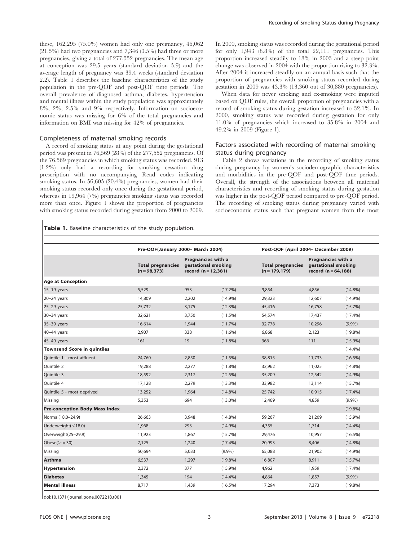these, 162,295 (75.0%) women had only one pregnancy, 46,062 (21.5%) had two pregnancies and 7,346 (3.5%) had three or more pregnancies, giving a total of 277,552 pregnancies. The mean age at conception was 29.5 years (standard deviation 5.9) and the average length of pregnancy was 39.4 weeks (standard deviation 2.2). Table 1 describes the baseline characteristics of the study population in the pre-QOF and post-QOF time periods. The overall prevalence of diagnosed asthma, diabetes, hypertension and mental illness within the study population was approximately 8%, 2%, 2.5% and 9% respectively. Information on socioeconomic status was missing for 6% of the total pregnancies and information on BMI was missing for 42% of pregnancies.

# Completeness of maternal smoking records

A record of smoking status at any point during the gestational period was present in 76,569 (28%) of the 277,552 pregnancies. Of the 76,569 pregnancies in which smoking status was recorded, 913 (1.2%) only had a recording for smoking cessation drug prescription with no accompanying Read codes indicating smoking status. In 56,605 (20.4%) pregnancies, women had their smoking status recorded only once during the gestational period, whereas in 19,964 (7%) pregnancies smoking status was recorded more than once. Figure 1 shows the proportion of pregnancies with smoking status recorded during gestation from 2000 to 2009. In 2000, smoking status was recorded during the gestational period for only 1,943 (8.8%) of the total 22,111 pregnancies. This proportion increased steadily to 18% in 2003 and a steep point change was observed in 2004 with the proportion rising to 32.3%. After 2004 it increased steadily on an annual basis such that the proportion of pregnancies with smoking status recorded during gestation in 2009 was 43.3% (13,360 out of 30,880 pregnancies).

When data for never smoking and ex-smoking were imputed based on QOF rules, the overall proportion of pregnancies with a record of smoking status during gestation increased to 32.1%. In 2000, smoking status was recorded during gestation for only 11.0% of pregnancies which increased to 35.8% in 2004 and 49.2% in 2009 (Figure 1).

# Factors associated with recording of maternal smoking status during pregnancy

Table 2 shows variations in the recording of smoking status during pregnancy by women's sociodemographic characteristics and morbidities in the pre-QOF and post-QOF time periods. Overall, the strength of the associations between all maternal characteristics and recording of smoking status during gestation was higher in the post-QOF period compared to pre-QOF period. The recording of smoking status during pregnancy varied with socioeconomic status such that pregnant women from the most

# Table 1. Baseline characteristics of the study population.

|                                       | Pre-QOF(January 2000- March 2004)           |                                                                     |            | Post-QOF (April 2004- December 2009)         |                                                                      |            |  |
|---------------------------------------|---------------------------------------------|---------------------------------------------------------------------|------------|----------------------------------------------|----------------------------------------------------------------------|------------|--|
|                                       | <b>Total pregnancies</b><br>$(n = 98, 373)$ | Pregnancies with a<br>gestational smoking<br>record $(n = 12, 381)$ |            | <b>Total pregnancies</b><br>$(n = 179, 179)$ | Pregnancies with a<br>gestational smoking<br>record ( $n = 64,188$ ) |            |  |
| <b>Age at Conception</b>              |                                             |                                                                     |            |                                              |                                                                      |            |  |
| $15-19$ years                         | 5,529                                       | 953                                                                 | $(17.2\%)$ | 9.854                                        | 4.856                                                                | $(14.8\%)$ |  |
| $20-24$ years                         | 14,809                                      | 2,202                                                               | $(14.9\%)$ | 29,323                                       | 12,607                                                               | $(14.9\%)$ |  |
| $25-29$ years                         | 25,732                                      | 3,175                                                               | (12.3%)    | 45,416                                       | 16,758                                                               | $(15.7\%)$ |  |
| $30-34$ years                         | 32,621                                      | 3.750                                                               | $(11.5\%)$ | 54,574                                       | 17,437                                                               | $(17.4\%)$ |  |
| 35-39 years                           | 16.614                                      | 1.944                                                               | (11.7%)    | 32,778                                       | 10,296                                                               | $(9.9\%)$  |  |
| $40-44$ years                         | 2,907                                       | 338                                                                 | $(11.6\%)$ | 6.868                                        | 2,123                                                                | $(19.8\%)$ |  |
| 45-49 years                           | 161                                         | 19                                                                  | $(11.8\%)$ | 366                                          | 111                                                                  | $(15.9\%)$ |  |
| <b>Townsend Score in quintiles</b>    |                                             |                                                                     |            |                                              |                                                                      | $(14.4\%)$ |  |
| Quintile 1 - most affluent            | 24,760                                      | 2,850                                                               | (11.5%)    | 38,815                                       | 11,733                                                               | $(16.5\%)$ |  |
| Ouintile 2                            | 19,288                                      | 2,277                                                               | $(11.8\%)$ | 32,962                                       | 11,025                                                               | $(14.8\%)$ |  |
| Quintile 3                            | 18,592                                      | 2,317                                                               | $(12.5\%)$ | 35,209                                       | 12,542                                                               | $(14.9\%)$ |  |
| Ouintile 4                            | 17,128                                      | 2,279                                                               | $(13.3\%)$ | 33,982                                       | 13,114                                                               | $(15.7\%)$ |  |
| Quintile 5 - most deprived            | 13,252                                      | 1,964                                                               | $(14.8\%)$ | 25,742                                       | 10,915                                                               | $(17.4\%)$ |  |
| Missing                               | 5.353                                       | 694                                                                 | $(13.0\%)$ | 12,469                                       | 4,859                                                                | $(9.9\%)$  |  |
| <b>Pre-conception Body Mass Index</b> |                                             |                                                                     |            |                                              |                                                                      | $(19.8\%)$ |  |
| Normal(18.0-24.9)                     | 26,663                                      | 3,948                                                               | $(14.8\%)$ | 59,267                                       | 21,209                                                               | $(15.9\%)$ |  |
| Underweight $(< 18.0)$                | 1,968                                       | 293                                                                 | $(14.9\%)$ | 4,355                                        | 1,714                                                                | $(14.4\%)$ |  |
| Overweight(25-29.9)                   | 11,923                                      | 1,867                                                               | $(15.7\%)$ | 29,476                                       | 10,957                                                               | $(16.5\%)$ |  |
| $Obese(>=30)$                         | 7,125                                       | 1,240                                                               | $(17.4\%)$ | 20,993                                       | 8,406                                                                | $(14.8\%)$ |  |
| Missing                               | 50,694                                      | 5,033                                                               | $(9.9\%)$  | 65,088                                       | 21,902                                                               | $(14.9\%)$ |  |
| <b>Asthma</b>                         | 6,537                                       | 1,297                                                               | $(19.8\%)$ | 16,807                                       | 8,911                                                                | $(15.7\%)$ |  |
| Hypertension                          | 2.372                                       | 377                                                                 | $(15.9\%)$ | 4,962                                        | 1,959                                                                | $(17.4\%)$ |  |
| <b>Diabetes</b>                       | 1,345                                       | 194                                                                 | $(14.4\%)$ | 4,864                                        | 1,857                                                                | $(9.9\%)$  |  |
| <b>Mental illness</b>                 | 8,717                                       | 1,439                                                               | $(16.5\%)$ | 17,294                                       | 7,373                                                                | $(19.8\%)$ |  |

doi:10.1371/journal.pone.0072218.t001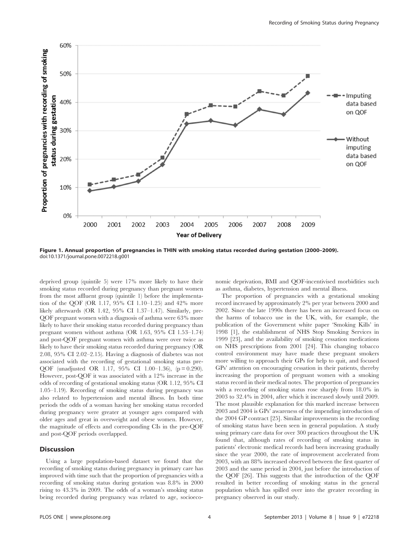

Figure 1. Annual proportion of pregnancies in THIN with smoking status recorded during gestation (2000–2009). doi:10.1371/journal.pone.0072218.g001

deprived group (quintile 5) were 17% more likely to have their smoking status recorded during pregnancy than pregnant women from the most affluent group (quintile 1) before the implementation of the QOF (OR 1.17, 95% CI 1.10–1.25) and 42% more likely afterwards (OR 1.42, 95% CI 1.37–1.47). Similarly, pre-QOF pregnant women with a diagnosis of asthma were 63% more likely to have their smoking status recorded during pregnancy than pregnant women without asthma (OR 1.63, 95% CI 1.53–1.74) and post-QOF pregnant women with asthma were over twice as likely to have their smoking status recorded during pregnancy (OR 2.08, 95% CI 2.02–2.15). Having a diagnosis of diabetes was not associated with the recording of gestational smoking status pre-QOF (unadjusted OR 1.17, 95% CI 1.00–1.36), (p = 0.290). However, post-QOF it was associated with a 12% increase in the odds of recording of gestational smoking status (OR 1.12, 95% CI 1.05–1.19). Recording of smoking status during pregnancy was also related to hypertension and mental illness. In both time periods the odds of a woman having her smoking status recorded during pregnancy were greater at younger ages compared with older ages and great in overweight and obese women. However, the magnitude of effects and corresponding CIs in the pre-QOF and post-QOF periods overlapped.

## **Discussion**

Using a large population-based dataset we found that the recording of smoking status during pregnancy in primary care has improved with time such that the proportion of pregnancies with a recording of smoking status during gestation was 8.8% in 2000 rising to 43.3% in 2009. The odds of a woman's smoking status being recorded during pregnancy was related to age, socioeconomic deprivation, BMI and QOF-incentivised morbidities such as asthma, diabetes, hypertension and mental illness.

The proportion of pregnancies with a gestational smoking record increased by approximately 2% per year between 2000 and 2002. Since the late 1990s there has been an increased focus on the harms of tobacco use in the UK, with, for example, the publication of the Government white paper 'Smoking Kills' in 1998 [1], the establishment of NHS Stop Smoking Services in 1999 [23], and the availability of smoking cessation medications on NHS prescriptions from 2001 [24]. This changing tobacco control environment may have made these pregnant smokers more willing to approach their GPs for help to quit, and focused GPs' attention on encouraging cessation in their patients, thereby increasing the proportion of pregnant women with a smoking status record in their medical notes. The proportion of pregnancies with a recording of smoking status rose sharply from 18.0% in 2003 to 32.4% in 2004, after which it increased slowly until 2009. The most plausible explanation for this marked increase between 2003 and 2004 is GPs' awareness of the impending introduction of the 2004 GP contract [25]. Similar improvements in the recording of smoking status have been seen in general population. A study using primary care data for over 300 practices throughout the UK found that, although rates of recording of smoking status in patients' electronic medical records had been increasing gradually since the year 2000, the rate of improvement accelerated from 2003, with an 88% increased observed between the first quarter of 2003 and the same period in 2004, just before the introduction of the QOF [26]. This suggests that the introduction of the QOF resulted in better recording of smoking status in the general population which has spilled over into the greater recording in pregnancy observed in our study.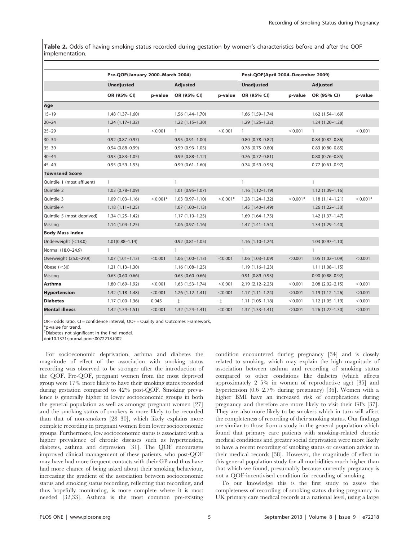Table 2. Odds of having smoking status recorded during gestation by women's characteristics before and after the QOF implementation.

|                            | Pre-QOF(January 2000-March 2004) |            |                        |            | Post-QOF(April 2004-December 2009) |            |                        |            |  |
|----------------------------|----------------------------------|------------|------------------------|------------|------------------------------------|------------|------------------------|------------|--|
|                            | <b>Unadjusted</b>                |            | <b>Adjusted</b>        |            | <b>Unadjusted</b>                  |            | <b>Adjusted</b>        |            |  |
|                            | OR (95% CI)                      | p-value    | OR (95% CI)            | p-value    | OR (95% CI)                        | p-value    | OR (95% CI)            | p-value    |  |
| Age                        |                                  |            |                        |            |                                    |            |                        |            |  |
| $15 - 19$                  | $1.48(1.37-1.60)$                |            | $1.56(1.44 - 1.70)$    |            | $1.66$ $(1.59-1.74)$               |            | $1.62(1.54 - 1.69)$    |            |  |
| $20 - 24$                  | $1.24(1.17-1.32)$                |            | $1.22(1.15-1.30)$      |            | $1.29(1.25 - 1.32)$                |            | $1.24(1.20-1.28)$      |            |  |
| $25 - 29$                  | 1                                | < 0.001    | $\mathbf{1}$           | < 0.001    | $\mathbf{1}$                       | < 0.001    | $\mathbf{1}$           | < 0.001    |  |
| $30 - 34$                  | $0.92$ $(0.87 - 0.97)$           |            | $0.95(0.91 - 1.00)$    |            | $0.80$ $(0.78 - 0.82)$             |            | $0.84$ (0.82-0.86)     |            |  |
| $35 - 39$                  | $0.94(0.88 - 0.99)$              |            | $0.99(0.93 - 1.05)$    |            | $0.78$ $(0.75 - 0.80)$             |            | $0.83$ $(0.80 - 0.85)$ |            |  |
| $40 - 44$                  | $0.93(0.83 - 1.05)$              |            | $0.99(0.88 - 1.12)$    |            | $0.76$ $(0.72 - 0.81)$             |            | $0.80$ $(0.76 - 0.85)$ |            |  |
| $45 - 49$                  | $0.95(0.59 - 1.53)$              |            | $0.99(0.61 - 1.60)$    |            | $0.74(0.59 - 0.93)$                |            | $0.77$ $(0.61 - 0.97)$ |            |  |
| <b>Townsend Score</b>      |                                  |            |                        |            |                                    |            |                        |            |  |
| Quintile 1 (most affluent) | $\mathbf{1}$                     |            | $\mathbf{1}$           |            | $\mathbf{1}$                       |            | $\mathbf{1}$           |            |  |
| Quintile 2                 | $1.03(0.78 - 1.09)$              |            | $1.01(0.95 - 1.07)$    |            | $1.16(1.12 - 1.19)$                |            | $1.12(1.09-1.16)$      |            |  |
| Quintile 3                 | $1.09(1.03 - 1.16)$              | $<$ 0.001* | $1.03(0.97-1.10)$      | $<$ 0.001* | $1.28(1.24 - 1.32)$                | $< 0.001*$ | $1.18(1.14 - 1.21)$    | $<$ 0.001* |  |
| Ouintile 4                 | $1.18(1.11 - 1.25)$              |            | $1.07(1.00-1.13)$      |            | $1.45(1.40-1.49)$                  |            | $1.26(1.22 - 1.30)$    |            |  |
| Quintile 5 (most deprived) | $1.34(1.25 - 1.42)$              |            | $1.17(1.10-1.25)$      |            | $1.69(1.64 - 1.75)$                |            | $1.42(1.37-1.47)$      |            |  |
| Missing                    | $1.14(1.04-1.25)$                |            | $1.06(0.97-1.16)$      |            | $1.47(1.41-1.54)$                  |            | $1.34(1.29 - 1.40)$    |            |  |
| <b>Body Mass Index</b>     |                                  |            |                        |            |                                    |            |                        |            |  |
| Underweight (<18.0)        | $1.01(0.88 - 1.14)$              |            | $0.92$ $(0.81 - 1.05)$ |            | $1.16(1.10-1.24)$                  |            | $1.03(0.97 - 1.10)$    |            |  |
| Normal (18.0-24.9)         | $\mathbf{1}$                     |            | 1                      |            | $\mathbf{1}$                       |            | $\mathbf{1}$           |            |  |
| Overweight (25.0-29.9)     | $1.07(1.01-1.13)$                | < 0.001    | $1.06(1.00-1.13)$      | < 0.001    | $1.06(1.03-1.09)$                  | < 0.001    | $1.05(1.02 - 1.09)$    | < 0.001    |  |
| Obese $(\geq 30)$          | $1.21(1.13-1.30)$                |            | $1.16(1.08-1.25)$      |            | $1.19(1.16 - 1.23)$                |            | $1.11(1.08-1.15)$      |            |  |
| Missing                    | $0.63$ $(0.60 - 0.66)$           |            | $0.63$ $(0.60 - 0.66)$ |            | $0.91(0.89 - 0.93)$                |            | $0.90(0.88 - 0.92)$    |            |  |
| Asthma                     | $1.80(1.69-1.92)$                | < 0.001    | $1.63(1.53 - 1.74)$    | < 0.001    | $2.19(2.12 - 2.25)$                | < 0.001    | $2.08$ $(2.02 - 2.15)$ | < 0.001    |  |
| <b>Hypertension</b>        | $1.32(1.18-1.48)$                | < 0.001    | $1.26(1.12 - 1.41)$    | < 0.001    | $1.17(1.11 - 1.24)$                | < 0.001    | $1.19(1.12-1.26)$      | < 0.001    |  |
| <b>Diabetes</b>            | $1.17(1.00-1.36)$                | 0.045      | $-1$                   | $-1$       | $1.11(1.05-1.18)$                  | < 0.001    | $1.12(1.05 - 1.19)$    | < 0.001    |  |
| <b>Mental illness</b>      | $1.42(1.34 - 1.51)$              | < 0.001    | $1.32(1.24 - 1.41)$    | < 0.001    | $1.37(1.33 - 1.41)$                | < 0.001    | $1.26(1.22 - 1.30)$    | < 0.001    |  |

OR = odds ratio, CI = confidence interval, QOF = Quality and Outcomes Framework,

\*p-value for trend,

` Diabetes not significant in the final model.

doi:10.1371/journal.pone.0072218.t002

For socioeconomic deprivation, asthma and diabetes the magnitude of effect of the association with smoking status recording was observed to be stronger after the introduction of the QOF. Pre-QOF, pregnant women from the most deprived group were 17% more likely to have their smoking status recorded during gestation compared to 42% post-QOF. Smoking prevalence is generally higher in lower socioeconomic groups in both the general population as well as amongst pregnant women [27] and the smoking status of smokers is more likely to be recorded than that of non-smokers [28–30], which likely explains more complete recording in pregnant women from lower socioeconomic groups. Furthermore, low socioeconomic status is associated with a higher prevalence of chronic diseases such as hypertension, diabetes, asthma and depression [31]. The QOF encourages improved clinical management of these patients, who post-QOF may have had more frequent contacts with their GP and thus have had more chance of being asked about their smoking behaviour, increasing the gradient of the association between socioeconomic status and smoking status recording, reflecting that recording, and thus hopefully monitoring, is more complete where it is most needed [32,33]. Asthma is the most common pre-existing condition encountered during pregnancy [34] and is closely related to smoking, which may explain the high magnitude of association between asthma and recording of smoking status compared to other conditions like diabetes (which affects approximately 2–5% in women of reproductive age) [35] and hypertension (0.6–2.7% during pregnancy) [36]. Women with a higher BMI have an increased risk of complications during pregnancy and therefore are more likely to visit their GPs [37]. They are also more likely to be smokers which in turn will affect the completeness of recording of their smoking status. Our findings are similar to those from a study in the general population which found that primary care patients with smoking-related chronic medical conditions and greater social deprivation were more likely to have a recent recording of smoking status or cessation advice in their medical records [38]. However, the magnitude of effect in this general population study for all morbidities much higher than that which we found, presumably because currently pregnancy is not a QOF-incentivised condition for recording of smoking.

To our knowledge this is the first study to assess the completeness of recording of smoking status during pregnancy in UK primary care medical records at a national level, using a large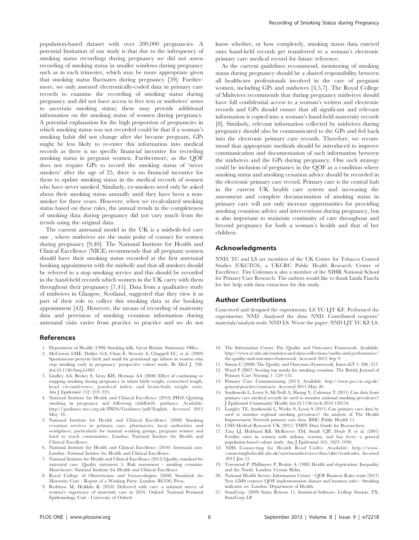population-based dataset with over 200,000 pregnancies. A potential limitation of our study is that due to the infrequency of smoking status recordings during pregnancy we did not assess recording of smoking status in smaller windows during pregnancy such as in each trimester, which may be more appropriate given that smoking status fluctuates during pregnancy [39]. Furthermore, we only assessed electronically-coded data in primary care records to examine the recording of smoking status during pregnancy and did not have access to free text or midwives' notes to ascertain smoking status; these may provide additional information on the smoking status of women during pregnancy. A potential explanation for the high proportion of pregnancies in which smoking status was not recorded could be that if a woman's smoking habit did not change after she became pregnant, GPs might be less likely to re-enter this information into medical records as there is no specific financial incentive for recording smoking status in pregnant women. Furthermore, as the QOF does not require GPs to record the smoking status of 'never smokers' after the age of 25, there is no financial incentive for them to update smoking status in the medical records of women who have never smoked. Similarly, ex-smokers need only be asked about their smoking status annually until they have been a nonsmoker for three years. However, when we recalculated smoking status based on these rules, the annual trends in the completeness of smoking data during pregnancy did not vary much from the trends using the original data.

The current antenatal model in the UK is a midwife-led care one , where midwives are the main point of contact for women during pregnancy [9,40]. The National Institute for Health and Clinical Excellence (NICE) recommends that all pregnant women should have their smoking status recorded at the first antenatal booking appointment with the midwife and that all smokers should be referred to a stop smoking service and this should be recorded in the hand-held records which women in the UK carry with them throughout their pregnancy [7,41]. Data from a qualitative study of midwives in Glasgow, Scotland, suggested that they view it as part of their role to collect this smoking data at the booking appointment [42]. However, the means of recording of maternity data and provision of smoking cessation information during antenatal visits varies from practice to practice and we do not

#### References

- 1. Department of Health (1998) Smoking kills. Great Britain: Stationary Office.
- 2. McCowan LME, Dekker GA, Chan E, Stewart A, Chappell LC, et al. (2009) Spontaneous preterm birth and small for gestational age infants in women who stop smoking early in pregnancy: prospective cohort study. Br Med J. 338. doi:10.1136/bmj.b1081
- 3. Lindley AA, Becker S, Gray RH, Herman AA (2000) Effect of continuing or stopping smoking during pregnancy in infant birth weight, crown-heel length, head circumference, ponderal index, and brain:body weight ratio. Am J Epidemiol 152: 219–225.
- 4. National Institute for Health and Clinical Excellence (2010) PH26 Quitting smoking in pregnancy and following childbirth: guidance. Available: http://guidance.nice.org.uk/PH26/Guidance/pdf/English. Accessed 2012 May 16.
- 5. National Institute for Health and Clinical Excellence (2008) Smoking cessation services in primary care, pharmacies, local authorities and workplaces, particularly for manual working groups, pregnant women and hard to reach communities. London: National Institue for Health and Clinical Excellence.
- 6. National Institute for Health and Clinical Excellence (2010) Antenatal care. London: National Institue for Health and Clinical Excellence.
- 7. National Institute for Health and Clinical Excellence (2012) Quality standard for antenatal care. Quality statement 5: Risk assessment - smoking cessation. Manchester: National Institute for Health and Clinical Excellence
- 8. Royal College of Obstetricians and Gynaecologists (2008) Standards for Maternity Care - Report of a Working Party. London: RCOG Press.
- 9. Redshaw M, Heikkila K (2010) Delivered with care: a national survey of women's experience of maternity care in 2010. Oxford: National Perinatal Epidemiology Unit - University of Oxford.

know whether, or how completely, smoking status data entered onto hand-held records get transferred to a woman's electronic primary care medical record for future reference.

As the current guidelines recommend, monitoring of smoking status during pregnancy should be a shared responsibility between all healthcare professionals involved in the care of pregnant women, including GPs and midwives [4,5,7]. The Royal College of Midwives recommends that during pregnancy midwives should have full confidential access to a woman's written and electronic records and GPs should ensure that all significant and relevant information is copied into a woman's hand-held maternity records [8]. Similarly, relevant information collected by midwives during pregnancy should also be communicated to the GPs and fed back into the electronic primary care records. Therefore, we recommend that appropriate methods should be introduced to improve communication and documentation of such information between the midwives and the GPs during pregnancy. One such strategy could be inclusion of pregnancy in the QOF as a condition where smoking status and smoking cessation advice should be recorded in the electronic primary care record. Primary care is the central hub in the current UK health care system and increasing the assessment and complete documentation of smoking status in primary care will not only increase opportunities for providing smoking cessation advice and interventions during pregnancy, but is also important to maintain continuity of care throughout and beyond pregnancy for both a woman's health and that of her children.

#### Acknowledgments

NND, TC and LS are members of the UK Centre for Tobacco Control Studies (UKCTCS), a UKCRC Public Health Research: Centre of Excellence. Tim Coleman is also a member of the NIHR National School for Primary Care Research. The authors would like to thank Linda Fiaschi for her help with data extraction for this study.

#### Author Contributions

Conceived and designed the experiments: LS TC LJT KF. Performed the experiments: NND. Analyzed the data: NND. Contributed reagents/ materials/analysis tools: NND LS. Wrote the paper: NND LJT TC KF LS.

- 10. The Information Centre The Quality and Outcomes Framework. Available: http://www.ic.nhs.uk/statistics-and-data-collections/audits-and-performance/ the-quality-and-outcomes-framework. Accessed 2012 Sep 9.
- 11. Simon C (2008) The Quality and Outcomes Framework. InnovAiT 1: 206–213. 12. Ward P (2007) Scoring top marks for smoking cessation. The British Journal of
- Primary Care Nursing 1: 129–131. 13. Primary Care Commissioning (2013) Available: http://www.pcc-cic.org.uk/
- general-practice/contracts. Accessed 2013 May 26.
- 14. Szatkowski L, Lewis S, McNeill A, Huang Y, Coleman T (2011) Can data from primary care medical records be used to monitor national smoking prevalence? J Epidemiol Community Health doi:10.1136/jech.2010.120154
- 15. Langley TE, Szatkowski L, Wythe S, Lewis S (2011) Can primary care data be used to monitor regional smoking prevalence? An analysis of The Health Improvement Network primary care data. BMC Public Health 11.
- 16. CSD Medical Research UK (2011) THIN Data Guide for Researchers.
- 17. Tata LJ, Hubbard RB, McKeever TM, Smith CJP, Doyle P, et al. (2007) Fertility rates in women with asthma, eczema, and hay fever: a general population-based cohort study. Am J Epidemiol 165: 1023–1030.
- 18. NHS Connecting for Health Read Codes. Available: http://www. connectingforhealth.nhs.uk/systemsandservices/data/uktc/readcodes. Accessed 2012 Jan 15.
- 19. Townsend P, Phillimore P, Beattie A (1988) Health and deprivation: Inequality and the North. London: Croom Helm.
- 20. National Health Service Information Centre QOF Business Rules team (2011) New GMS contract QOF implementation dataset and business rules - Smoking indicator set. London: Department of Health.
- 21. StataCorp. (2009) Stata: Release 11. Statistical Software. College Station, TX: StataCorp LP.